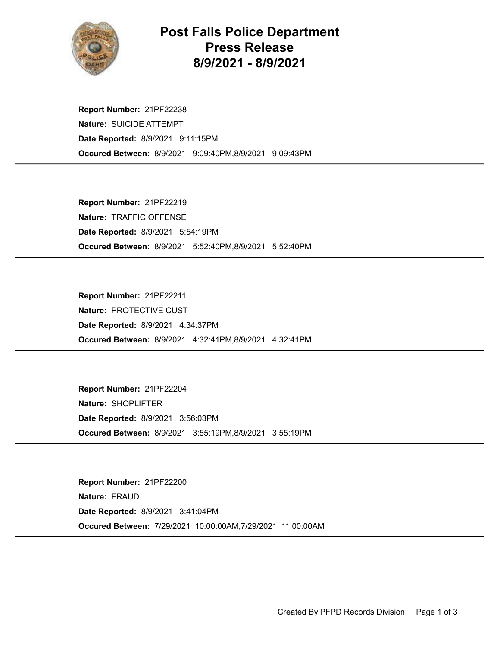

## Post Falls Police Department Press Release 8/9/2021 - 8/9/2021

Occured Between: 8/9/2021 9:09:40PM,8/9/2021 9:09:43PM Report Number: 21PF22238 Nature: SUICIDE ATTEMPT Date Reported: 8/9/2021 9:11:15PM

Occured Between: 8/9/2021 5:52:40PM,8/9/2021 5:52:40PM Report Number: 21PF22219 Nature: TRAFFIC OFFENSE Date Reported: 8/9/2021 5:54:19PM

Occured Between: 8/9/2021 4:32:41PM,8/9/2021 4:32:41PM Report Number: 21PF22211 Nature: PROTECTIVE CUST Date Reported: 8/9/2021 4:34:37PM

Occured Between: 8/9/2021 3:55:19PM,8/9/2021 3:55:19PM Report Number: 21PF22204 Nature: SHOPLIFTER Date Reported: 8/9/2021 3:56:03PM

Occured Between: 7/29/2021 10:00:00AM,7/29/2021 11:00:00AM Report Number: 21PF22200 Nature: FRAUD Date Reported: 8/9/2021 3:41:04PM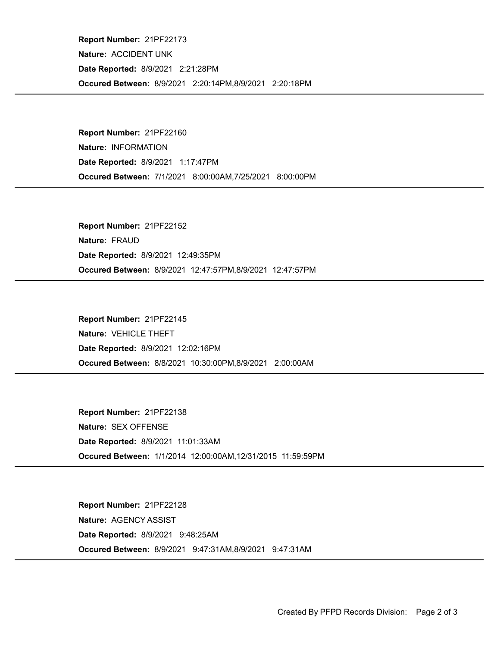Occured Between: 8/9/2021 2:20:14PM,8/9/2021 2:20:18PM Report Number: 21PF22173 Nature: ACCIDENT UNK Date Reported: 8/9/2021 2:21:28PM

Occured Between: 7/1/2021 8:00:00AM,7/25/2021 8:00:00PM Report Number: 21PF22160 Nature: INFORMATION Date Reported: 8/9/2021 1:17:47PM

Occured Between: 8/9/2021 12:47:57PM,8/9/2021 12:47:57PM Report Number: 21PF22152 Nature: FRAUD Date Reported: 8/9/2021 12:49:35PM

Occured Between: 8/8/2021 10:30:00PM,8/9/2021 2:00:00AM Report Number: 21PF22145 Nature: VEHICLE THEFT Date Reported: 8/9/2021 12:02:16PM

Occured Between: 1/1/2014 12:00:00AM,12/31/2015 11:59:59PM Report Number: 21PF22138 Nature: SEX OFFENSE Date Reported: 8/9/2021 11:01:33AM

Occured Between: 8/9/2021 9:47:31AM,8/9/2021 9:47:31AM Report Number: 21PF22128 Nature: AGENCY ASSIST Date Reported: 8/9/2021 9:48:25AM